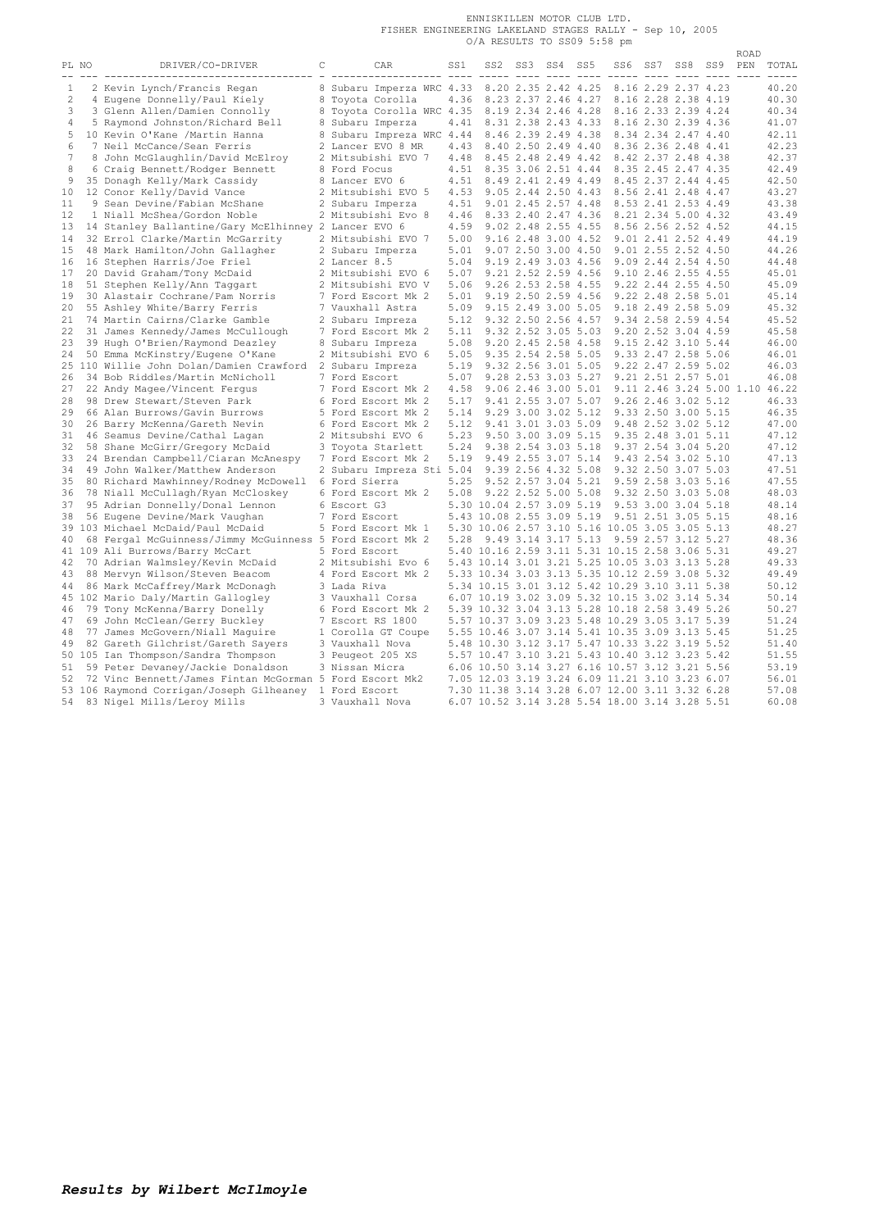ENNISKILLEN MOTOR CLUB LTD.<br>FISHER ENGINEERING LAKELAND STAGES RALLY - Sep 10, 2005<br>O/A RESULTS TO SS09 5:58 pm

|       |                                                          |   |                           |      |                           |                     |     |                                                |                     |             | ROAD |                                |
|-------|----------------------------------------------------------|---|---------------------------|------|---------------------------|---------------------|-----|------------------------------------------------|---------------------|-------------|------|--------------------------------|
| PL NO | DRIVER/CO-DRIVER                                         | С | CAR                       | SS1  | SS2                       | SS3 SS4             | SS5 | SS 6                                           |                     | SS7 SS8 SS9 | PEN  | TOTAL                          |
| 1     | ------------------------<br>2 Kevin Lynch/Francis Regan  |   | 8 Subaru Imperza WRC 4.33 |      |                           | 8.20 2.35 2.42 4.25 |     |                                                | 8.16 2.29 2.37 4.23 |             |      | 40.20                          |
| 2     | 4 Eugene Donnelly/Paul Kiely                             |   | 8 Toyota Corolla          | 4.36 |                           | 8.23 2.37 2.46 4.27 |     |                                                | 8.16 2.28 2.38 4.19 |             |      | 40.30                          |
| 3     | 3 Glenn Allen/Damien Connolly                            |   | 8 Toyota Corolla WRC 4.35 |      |                           | 8.19 2.34 2.46 4.28 |     |                                                | 8.16 2.33 2.39 4.24 |             |      | 40.34                          |
|       |                                                          |   |                           |      |                           |                     |     |                                                |                     |             |      |                                |
| 4     | 5 Raymond Johnston/Richard Bell                          |   | 8 Subaru Imperza          | 4.41 |                           | 8.31 2.38 2.43 4.33 |     |                                                | 8.16 2.30 2.39 4.36 |             |      | 41.07                          |
| 5     | 10 Kevin O'Kane /Martin Hanna                            |   | 8 Subaru Impreza WRC 4.44 |      |                           | 8.46 2.39 2.49 4.38 |     |                                                | 8.34 2.34 2.47 4.40 |             |      | 42.11                          |
| 6     | 7 Neil McCance/Sean Ferris                               |   | 2 Lancer EVO 8 MR         | 4.43 |                           | 8.40 2.50 2.49 4.40 |     |                                                | 8.36 2.36 2.48 4.41 |             |      | 42.23                          |
| 7     | 8 John McGlaughlin/David McElroy                         |   | 2 Mitsubishi EVO 7        | 4.48 |                           | 8.45 2.48 2.49 4.42 |     |                                                | 8.42 2.37 2.48 4.38 |             |      | 42.37                          |
| 8     | 6 Craig Bennett/Rodger Bennett                           |   | 8 Ford Focus              | 4.51 |                           | 8.35 3.06 2.51 4.44 |     |                                                | 8.35 2.45 2.47 4.35 |             |      | 42.49                          |
| 9     | 35 Donagh Kelly/Mark Cassidy                             |   | 8 Lancer EVO 6            | 4.51 |                           | 8.49 2.41 2.49 4.49 |     |                                                | 8.45 2.37 2.44 4.45 |             |      | 42.50                          |
| 10    | 12 Conor Kelly/David Vance                               |   | 2 Mitsubishi EVO 5        | 4.53 |                           | 9.05 2.44 2.50 4.43 |     |                                                | 8.56 2.41 2.48 4.47 |             |      | 43.27                          |
| 11    | 9 Sean Devine/Fabian McShane                             |   | 2 Subaru Imperza          | 4.51 |                           | 9.01 2.45 2.57 4.48 |     |                                                | 8.53 2.41 2.53 4.49 |             |      | 43.38                          |
| 12    | 1 Niall McShea/Gordon Noble                              |   | 2 Mitsubishi Evo 8        | 4.46 |                           | 8.33 2.40 2.47 4.36 |     |                                                | 8.21 2.34 5.00 4.32 |             |      | 43.49                          |
| 13    | 14 Stanley Ballantine/Gary McElhinney 2 Lancer EVO 6     |   |                           | 4.59 |                           | 9.02 2.48 2.55 4.55 |     |                                                | 8.56 2.56 2.52 4.52 |             |      | 44.15                          |
| 14    | 32 Errol Clarke/Martin McGarrity                         |   | 2 Mitsubishi EVO 7        | 5.00 |                           | 9.16 2.48 3.00 4.52 |     |                                                | 9.01 2.41 2.52 4.49 |             |      | 44.19                          |
| 15    | 48 Mark Hamilton/John Gallagher                          |   | 2 Subaru Imperza          | 5.01 |                           | 9.07 2.50 3.00 4.50 |     |                                                | 9.01 2.55 2.52 4.50 |             |      | 44.26                          |
| 16    | 16 Stephen Harris/Joe Friel                              |   | 2 Lancer 8.5              | 5.04 |                           | 9.19 2.49 3.03 4.56 |     |                                                | 9.09 2.44 2.54 4.50 |             |      | 44.48                          |
| 17    | 20 David Graham/Tony McDaid                              |   | 2 Mitsubishi EVO 6        | 5.07 |                           | 9.21 2.52 2.59 4.56 |     |                                                | 9.10 2.46 2.55 4.55 |             |      | 45.01                          |
| 18    | 51 Stephen Kelly/Ann Taggart                             |   | 2 Mitsubishi EVO V        | 5.06 |                           | 9.26 2.53 2.58 4.55 |     |                                                | 9.22 2.44 2.55 4.50 |             |      | 45.09                          |
| 19    | 30 Alastair Cochrane/Pam Norris                          |   | 7 Ford Escort Mk 2        | 5.01 |                           | 9.19 2.50 2.59 4.56 |     |                                                | 9.22 2.48 2.58 5.01 |             |      | 45.14                          |
| 20    | 55 Ashley White/Barry Ferris                             |   | 7 Vauxhall Astra          | 5.09 |                           | 9.15 2.49 3.00 5.05 |     |                                                | 9.18 2.49 2.58 5.09 |             |      | 45.32                          |
| 21    | 74 Martin Cairns/Clarke Gamble                           |   | 2 Subaru Impreza          | 5.12 |                           | 9.32 2.50 2.56 4.57 |     |                                                | 9.34 2.58 2.59 4.54 |             |      | 45.52                          |
| 22    | 31 James Kennedy/James McCullough                        |   | 7 Ford Escort Mk 2        | 5.11 |                           | 9.32 2.52 3.05 5.03 |     |                                                | 9.20 2.52 3.04 4.59 |             |      | 45.58                          |
| 23    | 39 Hugh O'Brien/Raymond Deazley                          |   | 8 Subaru Impreza          | 5.08 |                           | 9.20 2.45 2.58 4.58 |     |                                                | 9.15 2.42 3.10 5.44 |             |      | 46.00                          |
| 24    | 50 Emma McKinstry/Eugene O'Kane                          |   | 2 Mitsubishi EVO 6        | 5.05 |                           | 9.35 2.54 2.58 5.05 |     |                                                | 9.33 2.47 2.58 5.06 |             |      | 46.01                          |
|       | 25 110 Willie John Dolan/Damien Crawford                 |   | 2 Subaru Impreza          | 5.19 |                           | 9.32 2.56 3.01 5.05 |     |                                                | 9.22 2.47 2.59 5.02 |             |      | 46.03                          |
| 26    | 34 Bob Riddles/Martin McNicholl                          |   | 7 Ford Escort             | 5.07 |                           | 9.28 2.53 3.03 5.27 |     |                                                | 9.21 2.51 2.57 5.01 |             |      | 46.08                          |
| 27    | 22 Andy Magee/Vincent Fergus                             |   | 7 Ford Escort Mk 2        | 4.58 |                           | 9.06 2.46 3.00 5.01 |     |                                                |                     |             |      | 9.11 2.46 3.24 5.00 1.10 46.22 |
| 28    | 98 Drew Stewart/Steven Park                              |   | 6 Ford Escort Mk 2        | 5.17 |                           | 9.41 2.55 3.07 5.07 |     |                                                | 9.26 2.46 3.02 5.12 |             |      | 46.33                          |
| 29    | 66 Alan Burrows/Gavin Burrows                            |   | 5 Ford Escort Mk 2        | 5.14 |                           | 9.29 3.00 3.02 5.12 |     |                                                | 9.33 2.50 3.00 5.15 |             |      | 46.35                          |
| 30    | 26 Barry McKenna/Gareth Nevin                            |   | 6 Ford Escort Mk 2        | 5.12 |                           | 9.41 3.01 3.03 5.09 |     |                                                | 9.48 2.52 3.02 5.12 |             |      | 47.00                          |
| 31    | 46 Seamus Devine/Cathal Lagan                            |   | 2 Mitsubshi EVO 6         | 5.23 |                           | 9.50 3.00 3.09 5.15 |     |                                                | 9.35 2.48 3.01 5.11 |             |      | 47.12                          |
| 32    | 58 Shane McGirr/Gregory McDaid                           |   | 3 Toyota Starlett         | 5.24 |                           | 9.38 2.54 3.03 5.18 |     |                                                | 9.37 2.54 3.04 5.20 |             |      | 47.12                          |
| 33    | 24 Brendan Campbell/Ciaran McAnespy                      |   | 7 Ford Escort Mk 2        | 5.19 |                           | 9.49 2.55 3.07 5.14 |     |                                                | 9.43 2.54 3.02 5.10 |             |      | 47.13                          |
| 34    | 49 John Walker/Matthew Anderson                          |   | 2 Subaru Impreza Sti 5.04 |      |                           | 9.39 2.56 4.32 5.08 |     |                                                | 9.32 2.50 3.07 5.03 |             |      | 47.51                          |
| 35    | 80 Richard Mawhinney/Rodney McDowell                     |   | 6 Ford Sierra             | 5.25 |                           | 9.52 2.57 3.04 5.21 |     |                                                | 9.59 2.58 3.03 5.16 |             |      | 47.55                          |
| 36    | 78 Niall McCullagh/Ryan McCloskey                        |   | 6 Ford Escort Mk 2        | 5.08 |                           | 9.22 2.52 5.00 5.08 |     |                                                | 9.32 2.50 3.03 5.08 |             |      | 48.03                          |
| 37    | 95 Adrian Donnelly/Donal Lennon                          |   | 6 Escort G3               |      | 5.30 10.04 2.57 3.09 5.19 |                     |     |                                                | 9.53 3.00 3.04 5.18 |             |      | 48.14                          |
| 38    |                                                          |   | 7 Ford Escort             |      | 5.43 10.08 2.55 3.09 5.19 |                     |     |                                                | 9.51 2.51 3.05 5.15 |             |      | 48.16                          |
|       | 56 Eugene Devine/Mark Vaughan                            |   |                           |      |                           |                     |     | 5.30 10.06 2.57 3.10 5.16 10.05 3.05 3.05 5.13 |                     |             |      | 48.27                          |
|       | 39 103 Michael McDaid/Paul McDaid                        |   | 5 Ford Escort Mk 1        |      |                           |                     |     |                                                |                     |             |      |                                |
| 40    | 68 Fergal McGuinness/Jimmy McGuinness 5 Ford Escort Mk 2 |   |                           | 5.28 |                           | 9.49 3.14 3.17 5.13 |     |                                                | 9.59 2.57 3.12 5.27 |             |      | 48.36                          |
|       | 41 109 Ali Burrows/Barry McCart                          |   | 5 Ford Escort             |      |                           |                     |     | 5.40 10.16 2.59 3.11 5.31 10.15 2.58 3.06 5.31 |                     |             |      | 49.27                          |
| 42    | 70 Adrian Walmsley/Kevin McDaid                          |   | 2 Mitsubishi Evo 6        |      |                           |                     |     | 5.43 10.14 3.01 3.21 5.25 10.05 3.03 3.13 5.28 |                     |             |      | 49.33                          |
| 43    | 88 Mervyn Wilson/Steven Beacom                           |   | 4 Ford Escort Mk 2        |      |                           |                     |     | 5.33 10.34 3.03 3.13 5.35 10.12 2.59 3.08 5.32 |                     |             |      | 49.49                          |
| 44    | 86 Mark McCaffrey/Mark McDonagh                          |   | 3 Lada Riva               |      |                           |                     |     | 5.34 10.15 3.01 3.12 5.42 10.29 3.10 3.11 5.38 |                     |             |      | 50.12                          |
|       | 45 102 Mario Daly/Martin Gallogley                       |   | 3 Vauxhall Corsa          |      |                           |                     |     | 6.07 10.19 3.02 3.09 5.32 10.15 3.02 3.14 5.34 |                     |             |      | 50.14                          |
| 46    | 79 Tony McKenna/Barry Donelly                            |   | 6 Ford Escort Mk 2        |      |                           |                     |     | 5.39 10.32 3.04 3.13 5.28 10.18 2.58 3.49 5.26 |                     |             |      | 50.27                          |
| 47    | 69 John McClean/Gerry Buckley                            |   | 7 Escort RS 1800          |      |                           |                     |     | 5.57 10.37 3.09 3.23 5.48 10.29 3.05 3.17 5.39 |                     |             |      | 51.24                          |
| 48    | 77 James McGovern/Niall Maquire                          |   | 1 Corolla GT Coupe        | 5.55 |                           |                     |     | 10.46 3.07 3.14 5.41 10.35 3.09 3.13 5.45      |                     |             |      | 51.25                          |
| 49    | 82 Gareth Gilchrist/Gareth Sayers                        |   | 3 Vauxhall Nova           |      |                           |                     |     | 5.48 10.30 3.12 3.17 5.47 10.33 3.22 3.19 5.52 |                     |             |      | 51.40                          |
|       | 50 105 Ian Thompson/Sandra Thompson                      |   | 3 Peugeot 205 XS          |      |                           |                     |     | 5.57 10.47 3.10 3.21 5.43 10.40 3.12 3.23 5.42 |                     |             |      | 51.55                          |
| 51    | 59 Peter Devaney/Jackie Donaldson                        |   | 3 Nissan Micra            | 6.06 |                           |                     |     | 10.50 3.14 3.27 6.16 10.57 3.12 3.21 5.56      |                     |             |      | 53.19                          |
| 52    | 72 Vinc Bennett/James Fintan McGorman 5 Ford Escort Mk2  |   |                           |      |                           |                     |     | 7.05 12.03 3.19 3.24 6.09 11.21 3.10 3.23 6.07 |                     |             |      | 56.01                          |
|       | 53 106 Raymond Corrigan/Joseph Gilheaney                 |   | 1 Ford Escort             |      |                           |                     |     | 7.30 11.38 3.14 3.28 6.07 12.00 3.11 3.32 6.28 |                     |             |      | 57.08                          |
| 54    | 83 Nigel Mills/Leroy Mills                               |   | 3 Vauxhall Nova           |      |                           |                     |     | 6.07 10.52 3.14 3.28 5.54 18.00 3.14 3.28 5.51 |                     |             |      | 60.08                          |
|       |                                                          |   |                           |      |                           |                     |     |                                                |                     |             |      |                                |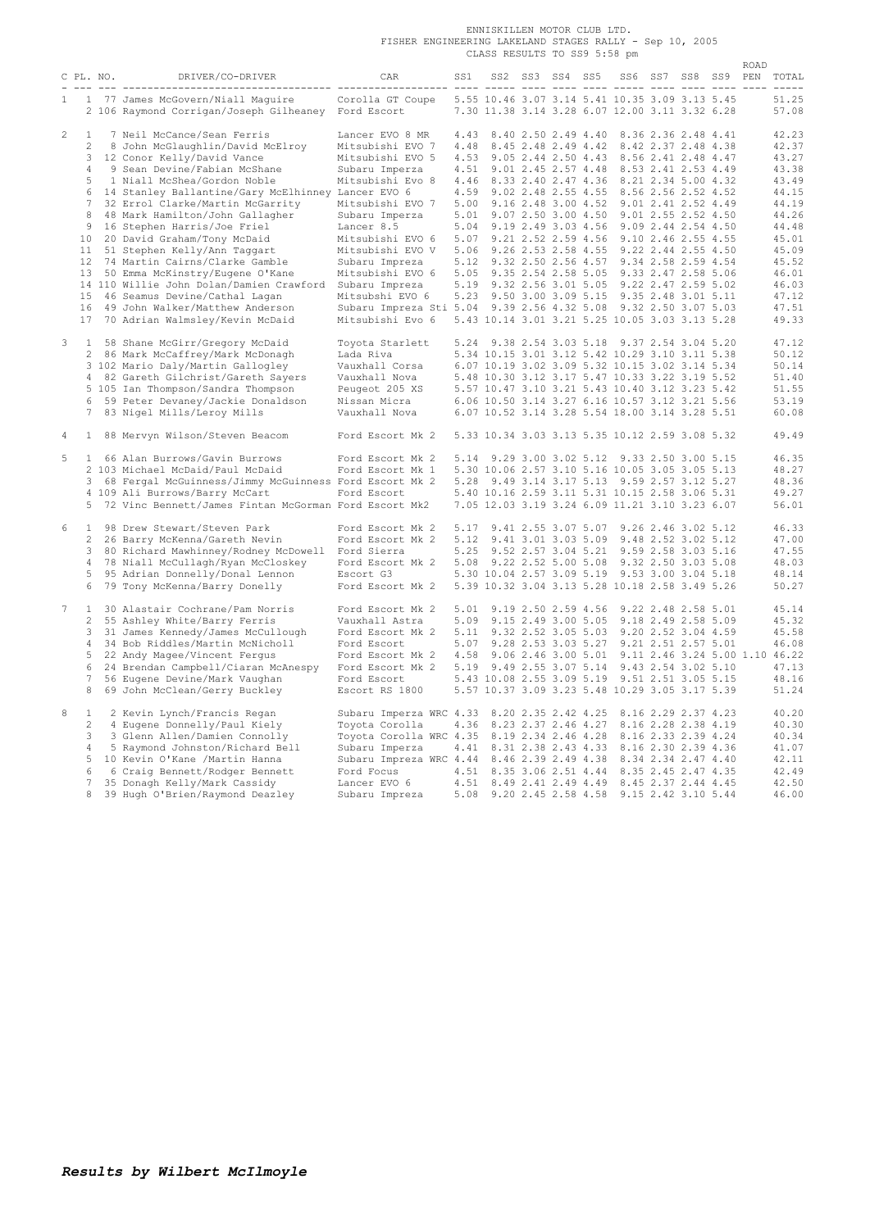|                |                |           |                                                                                                                  |                                                                 |       | ENNISKILLEN MOTOR CLUB LTD.  |  |                 |  |                                                         |  |  |  |      |                           |
|----------------|----------------|-----------|------------------------------------------------------------------------------------------------------------------|-----------------------------------------------------------------|-------|------------------------------|--|-----------------|--|---------------------------------------------------------|--|--|--|------|---------------------------|
|                |                |           |                                                                                                                  | FISHER ENGINEERING LAKELAND STAGES RALLY - Sep 10, 2005         |       |                              |  |                 |  |                                                         |  |  |  |      |                           |
|                |                |           |                                                                                                                  |                                                                 |       | CLASS RESULTS TO SS9 5:58 pm |  |                 |  |                                                         |  |  |  |      |                           |
|                |                |           |                                                                                                                  |                                                                 |       |                              |  |                 |  |                                                         |  |  |  | ROAD |                           |
|                |                | C PL. NO. | DRIVER/CO-DRIVER                                                                                                 | CAR                                                             | SS1 – |                              |  | SS2 SS3 SS4 SS5 |  |                                                         |  |  |  |      | SS6 SS7 SS8 SS9 PEN TOTAL |
|                |                |           | <u>, ale die confederationedischerationen altitionedischer die sich die die die die sich die die die die die</u> |                                                                 |       |                              |  |                 |  |                                                         |  |  |  |      | $- - - - -$               |
|                |                |           | 1 1 77 James McGovern/Niall Maguire                                                                              | Corolla GT Coupe                                                |       |                              |  |                 |  | 5.55 10.46 3.07 3.14 5.41 10.35 3.09 3.13 5.45          |  |  |  |      | 51.25                     |
|                |                |           | 2 106 Raymond Corrigan/Joseph Gilheaney Ford Escort                                                              |                                                                 |       |                              |  |                 |  | 7.30 11.38 3.14 3.28 6.07 12.00 3.11 3.32 6.28          |  |  |  |      | 57.08                     |
|                |                |           |                                                                                                                  |                                                                 |       |                              |  |                 |  |                                                         |  |  |  |      |                           |
| $\mathbf{2}$   | <sup>1</sup>   |           | 7 Neil McCance/Sean Ferris                                                                                       | Lancer EVO 8 MR                                                 |       |                              |  |                 |  | 4.43 8.40 2.50 2.49 4.40 8.36 2.36 2.48 4.41            |  |  |  |      | 42.23                     |
|                | $\overline{2}$ |           | 8 John McGlaughlin/David McElroy                                                                                 | Mitsubishi EVO 7                                                |       |                              |  |                 |  | 4.48 8.45 2.48 2.49 4.42 8.42 2.37 2.48 4.38            |  |  |  |      | 42.37                     |
|                |                |           | 3 12 Conor Kelly/David Vance                                                                                     | Mitsubishi EVO 5                                                |       |                              |  |                 |  | 4.53 9.05 2.44 2.50 4.43 8.56 2.41 2.48 4.47            |  |  |  |      | 43.27                     |
|                |                |           | 4 9 Sean Devine/Fabian McShane                                                                                   | Subaru Imperza                                                  |       |                              |  |                 |  | 4.51 9.01 2.45 2.57 4.48 8.53 2.41 2.53 4.49            |  |  |  |      | 43.38                     |
|                | 5              |           | 1 Niall McShea/Gordon Noble                                                                                      | Mitsubishi Evo 8                                                |       |                              |  |                 |  | 4.46 8.33 2.40 2.47 4.36 8.21 2.34 5.00 4.32            |  |  |  |      | 43.49                     |
|                |                |           | 6 14 Stanley Ballantine/Gary McElhinney Lancer EVO 6                                                             |                                                                 |       |                              |  |                 |  | 4.59 9.02 2.48 2.55 4.55 8.56 2.56 2.52 4.52            |  |  |  |      | 44.15                     |
|                |                |           | 7 32 Errol Clarke/Martin McGarrity                                                                               | Mitsubishi EVO 7                                                |       |                              |  |                 |  | 5.00 9.16 2.48 3.00 4.52 9.01 2.41 2.52 4.49            |  |  |  |      | 44.19                     |
|                |                |           | 8 48 Mark Hamilton/John Gallagher                                                                                | Subaru Imperza                                                  |       |                              |  |                 |  | 5.01 9.07 2.50 3.00 4.50 9.01 2.55 2.52 4.50            |  |  |  |      | 44.26                     |
|                |                |           | 9 16 Stephen Harris/Joe Friel                                                                                    | Lancer 8.5                                                      |       |                              |  |                 |  | 5.04 9.19 2.49 3.03 4.56 9.09 2.44 2.54 4.50            |  |  |  |      | 44.48                     |
|                |                |           | 10 20 David Graham/Tony McDaid                                                                                   | Mitsubishi EVO 6                                                |       |                              |  |                 |  | 5.07 9.21 2.52 2.59 4.56 9.10 2.46 2.55 4.55            |  |  |  |      | 45.01                     |
|                |                |           | 11 51 Stephen Kelly/Ann Taggart                                                                                  | Mitsubishi EVO V                                                |       |                              |  |                 |  | 5.06 9.26 2.53 2.58 4.55 9.22 2.44 2.55 4.50            |  |  |  |      | 45.09                     |
|                |                |           | 12 74 Martin Cairns/Clarke Gamble                                                                                | Subaru Impreza                                                  |       |                              |  |                 |  | 5.12 9.32 2.50 2.56 4.57 9.34 2.58 2.59 4.54            |  |  |  |      | 45.52                     |
|                |                |           | 13 50 Emma McKinstry/Eugene O'Kane                                                                               | Mitsubishi EVO 6                                                |       |                              |  |                 |  | 5.05 9.35 2.54 2.58 5.05 9.33 2.47 2.58 5.06            |  |  |  |      | 46.01                     |
|                |                |           | 14 110 Willie John Dolan/Damien Crawford                                                                         | Subaru Impreza                                                  |       |                              |  |                 |  | 5.19 9.32 2.56 3.01 5.05 9.22 2.47 2.59 5.02            |  |  |  |      | 46.03                     |
|                |                |           | 15 46 Seamus Devine/Cathal Lagan                                                                                 | Mitsubshi EVO 6                                                 |       |                              |  |                 |  | 5.23 9.50 3.00 3.09 5.15 9.35 2.48 3.01 5.11            |  |  |  |      | 47.12                     |
|                |                |           | 16 49 John Walker/Matthew Anderson                                                                               | Subaru Impreza Sti 5.04 9.39 2.56 4.32 5.08 9.32 2.50 3.07 5.03 |       |                              |  |                 |  |                                                         |  |  |  |      | 47.51                     |
|                |                |           | 17 70 Adrian Walmsley/Kevin McDaid                                                                               | Mitsubishi Evo 6                                                |       |                              |  |                 |  | 5.43 10.14 3.01 3.21 5.25 10.05 3.03 3.13 5.28          |  |  |  |      | 49.33                     |
|                |                |           |                                                                                                                  |                                                                 |       |                              |  |                 |  |                                                         |  |  |  |      |                           |
| 3              |                |           | 1 58 Shane McGirr/Gregory McDaid                                                                                 | Toyota Starlett                                                 |       |                              |  |                 |  | 5.24 9.38 2.54 3.03 5.18 9.37 2.54 3.04 5.20            |  |  |  |      | 47.12                     |
|                |                |           | 2 86 Mark McCaffrey/Mark McDonagh                                                                                | Lada Riva                                                       |       |                              |  |                 |  | 5.34 10.15 3.01 3.12 5.42 10.29 3.10 3.11 5.38          |  |  |  |      | 50.12                     |
|                |                |           |                                                                                                                  |                                                                 |       |                              |  |                 |  |                                                         |  |  |  |      |                           |
|                |                |           | 3 102 Mario Daly/Martin Gallogley                                                                                | Vauxhall Corsa                                                  |       |                              |  |                 |  | 6.07 10.19 3.02 3.09 5.32 10.15 3.02 3.14 5.34          |  |  |  |      | 50.14                     |
|                |                |           | 4 82 Gareth Gilchrist/Gareth Sayers                                                                              | Vauxhall Nova                                                   |       |                              |  |                 |  | 5.48 10.30 3.12 3.17 5.47 10.33 3.22 3.19 5.52          |  |  |  |      | 51.40                     |
|                |                |           | 5 105 Ian Thompson/Sandra Thompson                                                                               | Peugeot 205 XS                                                  |       |                              |  |                 |  | 5.57 10.47 3.10 3.21 5.43 10.40 3.12 3.23 5.42          |  |  |  |      | 51.55                     |
|                |                |           | 6 59 Peter Devaney/Jackie Donaldson                                                                              | Nissan Micra                                                    |       |                              |  |                 |  | 6.06 10.50 3.14 3.27 6.16 10.57 3.12 3.21 5.56          |  |  |  |      | 53.19                     |
|                |                |           | 7 83 Nigel Mills/Leroy Mills                                                                                     | Vauxhall Nova                                                   |       |                              |  |                 |  | 6.07 10.52 3.14 3.28 5.54 18.00 3.14 3.28 5.51          |  |  |  |      | 60.08                     |
|                |                |           |                                                                                                                  |                                                                 |       |                              |  |                 |  | 5.33 10.34 3.03 3.13 5.35 10.12 2.59 3.08 5.32          |  |  |  |      |                           |
| $\overline{4}$ | $\mathbf{1}$   |           | 88 Mervyn Wilson/Steven Beacom                                                                                   | Ford Escort Mk 2                                                |       |                              |  |                 |  |                                                         |  |  |  |      | 49.49                     |
| 5              |                |           | 1 66 Alan Burrows/Gavin Burrows                                                                                  | Ford Escort Mk 2                                                |       |                              |  |                 |  | 5.14 9.29 3.00 3.02 5.12 9.33 2.50 3.00 5.15            |  |  |  |      | 46.35                     |
|                |                |           | 2 103 Michael McDaid/Paul McDaid                                                                                 | Ford Escort Mk 1                                                |       |                              |  |                 |  | 5.30 10.06 2.57 3.10 5.16 10.05 3.05 3.05 5.13          |  |  |  |      | 48.27                     |
|                |                |           | 3 68 Fergal McGuinness/Jimmy McGuinness Ford Escort Mk 2                                                         |                                                                 |       |                              |  |                 |  | 5.28 9.49 3.14 3.17 5.13 9.59 2.57 3.12 5.27            |  |  |  |      | 48.36                     |
|                |                |           | 4 109 Ali Burrows/Barry McCart                                                                                   | Ford Escort                                                     |       |                              |  |                 |  | 5.40 10.16 2.59 3.11 5.31 10.15 2.58 3.06 5.31          |  |  |  |      | 49.27                     |
|                |                |           | 5 72 Vinc Bennett/James Fintan McGorman Ford Escort Mk2                                                          |                                                                 |       |                              |  |                 |  | 7.05 12.03 3.19 3.24 6.09 11.21 3.10 3.23 6.07          |  |  |  |      | 56.01                     |
|                |                |           |                                                                                                                  |                                                                 |       |                              |  |                 |  |                                                         |  |  |  |      |                           |
| 6              |                |           | 1 98 Drew Stewart/Steven Park                                                                                    | Ford Escort Mk 2                                                |       |                              |  |                 |  | 5.17 9.41 2.55 3.07 5.07 9.26 2.46 3.02 5.12            |  |  |  |      | 46.33                     |
|                |                |           | 2 26 Barry McKenna/Gareth Nevin                                                                                  | Ford Escort Mk 2                                                |       |                              |  |                 |  | 5.12 9.41 3.01 3.03 5.09 9.48 2.52 3.02 5.12            |  |  |  |      | 47.00                     |
|                |                |           | 3 80 Richard Mawhinney/Rodney McDowell Ford Sierra                                                               |                                                                 |       |                              |  |                 |  | 5.25 9.52 2.57 3.04 5.21 9.59 2.58 3.03 5.16            |  |  |  |      | 47.55                     |
|                |                |           | 4 78 Niall McCullagh/Ryan McCloskey                                                                              | Ford Escort Mk 2                                                |       |                              |  |                 |  | 5.08 9.22 2.52 5.00 5.08 9.32 2.50 3.03 5.08            |  |  |  |      | 48.03                     |
|                | 5              |           | 95 Adrian Donnelly/Donal Lennon                                                                                  | Escort G3                                                       |       |                              |  |                 |  | 5.30 10.04 2.57 3.09 5.19 9.53 3.00 3.04 5.18           |  |  |  |      | 48.14                     |
|                |                |           | 6 79 Tony McKenna/Barry Donelly                                                                                  | Ford Escort Mk 2                                                |       |                              |  |                 |  | 5.39 10.32 3.04 3.13 5.28 10.18 2.58 3.49 5.26          |  |  |  |      | 50.27                     |
|                |                |           |                                                                                                                  |                                                                 |       |                              |  |                 |  |                                                         |  |  |  |      |                           |
|                |                |           | 7 1 30 Alastair Cochrane/Pam Norris                                                                              | Ford Escort Mk 2                                                |       |                              |  |                 |  | 5.01 9.19 2.50 2.59 4.56 9.22 2.48 2.58 5.01            |  |  |  |      | 45.14                     |
|                |                |           | 2 55 Ashley White/Barry Ferris                                                                                   | Vauxhall Astra                                                  |       |                              |  |                 |  | 5.09 9.15 2.49 3.00 5.05 9.18 2.49 2.58 5.09            |  |  |  |      | 45.32                     |
|                |                |           |                                                                                                                  |                                                                 |       |                              |  |                 |  |                                                         |  |  |  |      |                           |
|                |                |           | 3 31 James Kennedy/James McCullough                                                                              | Ford Escort Mk 2                                                |       |                              |  |                 |  | 5.11 9.32 2.52 3.05 5.03 9.20 2.52 3.04 4.59            |  |  |  |      | 45.58                     |
|                |                |           | 4 34 Bob Riddles/Martin McNicholl                                                                                | Ford Escort                                                     |       |                              |  |                 |  | 5.07 9.28 2.53 3.03 5.27 9.21 2.51 2.57 5.01            |  |  |  |      | 46.08                     |
|                | 5              |           | 22 Andy Magee/Vincent Fergus                                                                                     | Ford Escort Mk 2                                                |       |                              |  |                 |  | 4.58 9.06 2.46 3.00 5.01 9.11 2.46 3.24 5.00 1.10 46.22 |  |  |  |      |                           |
|                | 6              |           | 24 Brendan Campbell/Ciaran McAnespy                                                                              | Ford Escort Mk 2                                                |       |                              |  |                 |  | 5.19 9.49 2.55 3.07 5.14 9.43 2.54 3.02 5.10            |  |  |  |      | 47.13                     |
|                |                |           | 7 56 Eugene Devine/Mark Vaughan                                                                                  | Ford Escort                                                     |       |                              |  |                 |  | 5.43 10.08 2.55 3.09 5.19 9.51 2.51 3.05 5.15           |  |  |  |      | 48.16                     |
|                | 8              |           | 69 John McClean/Gerry Buckley                                                                                    | Escort RS 1800                                                  |       |                              |  |                 |  | 5.57 10.37 3.09 3.23 5.48 10.29 3.05 3.17 5.39          |  |  |  |      | 51.24                     |
| 8              | $\mathbf{1}$   |           | 2 Kevin Lynch/Francis Regan                                                                                      | Subaru Imperza WRC 4.33 8.20 2.35 2.42 4.25 8.16 2.29 2.37 4.23 |       |                              |  |                 |  |                                                         |  |  |  |      | 40.20                     |
|                |                |           |                                                                                                                  | Toyota Corolla                                                  |       |                              |  |                 |  | 4.36 8.23 2.37 2.46 4.27 8.16 2.28 2.38 4.19            |  |  |  |      | 40.30                     |
|                |                |           | 2 4 Eugene Donnelly/Paul Kiely                                                                                   |                                                                 |       |                              |  |                 |  |                                                         |  |  |  |      |                           |
|                |                |           | 3 3 Glenn Allen/Damien Connolly                                                                                  | Toyota Corolla WRC 4.35 8.19 2.34 2.46 4.28 8.16 2.33 2.39 4.24 |       |                              |  |                 |  |                                                         |  |  |  |      | 40.34                     |
|                | $\overline{4}$ |           | 5 Raymond Johnston/Richard Bell                                                                                  | Subaru Imperza                                                  |       |                              |  |                 |  | 4.41 8.31 2.38 2.43 4.33 8.16 2.30 2.39 4.36            |  |  |  |      | 41.07                     |
|                |                |           | 5 10 Kevin O'Kane /Martin Hanna                                                                                  | Subaru Impreza WRC 4.44 8.46 2.39 2.49 4.38 8.34 2.34 2.47 4.40 |       |                              |  |                 |  |                                                         |  |  |  |      | 42.11                     |
|                | 6              |           | 6 Craig Bennett/Rodger Bennett                                                                                   | Ford Focus                                                      |       |                              |  |                 |  | 4.51 8.35 3.06 2.51 4.44 8.35 2.45 2.47 4.35            |  |  |  |      | 42.49                     |
|                | 7              |           | 35 Donagh Kelly/Mark Cassidy                                                                                     | Lancer EVO 6                                                    |       |                              |  |                 |  | 4.51 8.49 2.41 2.49 4.49 8.45 2.37 2.44 4.45            |  |  |  |      | 42.50                     |
|                |                | 8         | 39 Hugh O'Brien/Raymond Deazley                                                                                  | Subaru Impreza                                                  |       |                              |  |                 |  | 5.08 9.20 2.45 2.58 4.58 9.15 2.42 3.10 5.44            |  |  |  |      | 46.00                     |